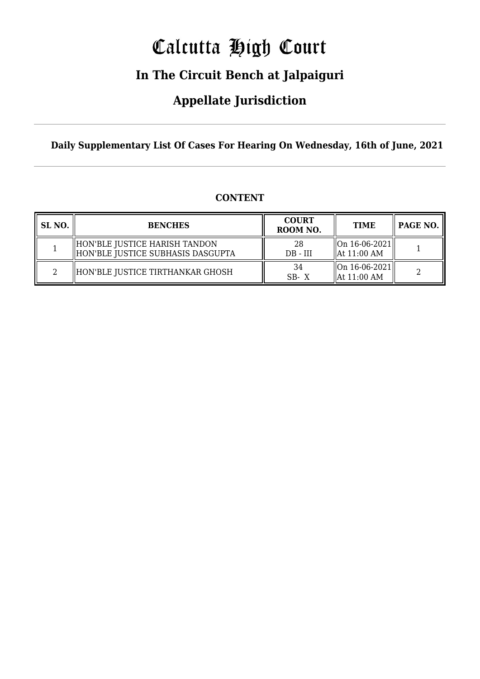# Calcutta High Court

### **In The Circuit Bench at Jalpaiguri**

### **Appellate Jurisdiction**

**Daily Supplementary List Of Cases For Hearing On Wednesday, 16th of June, 2021**

| <b>CONTENT</b> |
|----------------|
|                |

| SL NO. | <b>BENCHES</b>                                                     | <b>COURT</b><br>ROOM NO. | <b>TIME</b>                                                                                | PAGE NO. |
|--------|--------------------------------------------------------------------|--------------------------|--------------------------------------------------------------------------------------------|----------|
|        | HON'BLE JUSTICE HARISH TANDON<br>HON'BLE JUSTICE SUBHASIS DASGUPTA | 28<br>$DB - III$         | $\lfloor 0n \t16 - 06 - 2021 \rfloor$<br>$\parallel$ At 11:00 AM                           |          |
|        | HON'BLE JUSTICE TIRTHANKAR GHOSH                                   | 34<br>SB-X               | $\left\vert \right\vert$ On 16-06-2021 $\left\vert \right\vert$<br>$\parallel$ At 11:00 AM |          |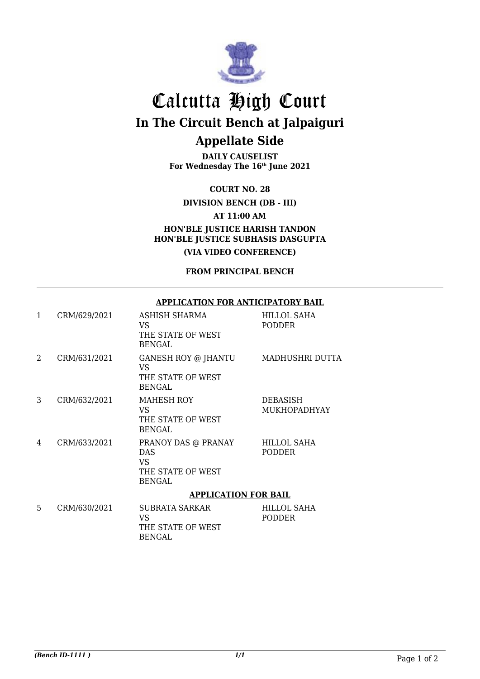

## Calcutta High Court **In The Circuit Bench at Jalpaiguri Appellate Side**

**DAILY CAUSELIST** For Wednesday The 16<sup>th</sup> June 2021

**COURT NO. 28**

**DIVISION BENCH (DB - III)**

**AT 11:00 AM**

**HON'BLE JUSTICE HARISH TANDON HON'BLE JUSTICE SUBHASIS DASGUPTA (VIA VIDEO CONFERENCE)**

**FROM PRINCIPAL BENCH**

#### **APPLICATION FOR ANTICIPATORY BAIL**

| $\mathbf{1}$ | CRM/629/2021 | ASHISH SHARMA<br>VS.<br>THE STATE OF WEST<br><b>BENGAL</b>                    | HILLOL SAHA<br>PODDER           |  |
|--------------|--------------|-------------------------------------------------------------------------------|---------------------------------|--|
| 2            | CRM/631/2021 | GANESH ROY @ JHANTU<br>VS.<br>THE STATE OF WEST<br><b>BENGAL</b>              | MADHUSHRI DUTTA                 |  |
| 3            | CRM/632/2021 | MAHESH ROY<br>VS.<br>THE STATE OF WEST<br><b>BENGAL</b>                       | DEBASISH<br><b>MUKHOPADHYAY</b> |  |
| 4            | CRM/633/2021 | PRANOY DAS @ PRANAY<br><b>DAS</b><br>VS<br>THE STATE OF WEST<br><b>BENGAL</b> | HILLOL SAHA<br>PODDER           |  |
|              |              | <b>APPLICATION FOR BAIL</b>                                                   |                                 |  |
| 5            | CRM/630/2021 | <b>SUBRATA SARKAR</b><br>VS<br>THE STATE OF WEST<br><b>BENGAL</b>             | HILLOL SAHA<br>PODDER           |  |